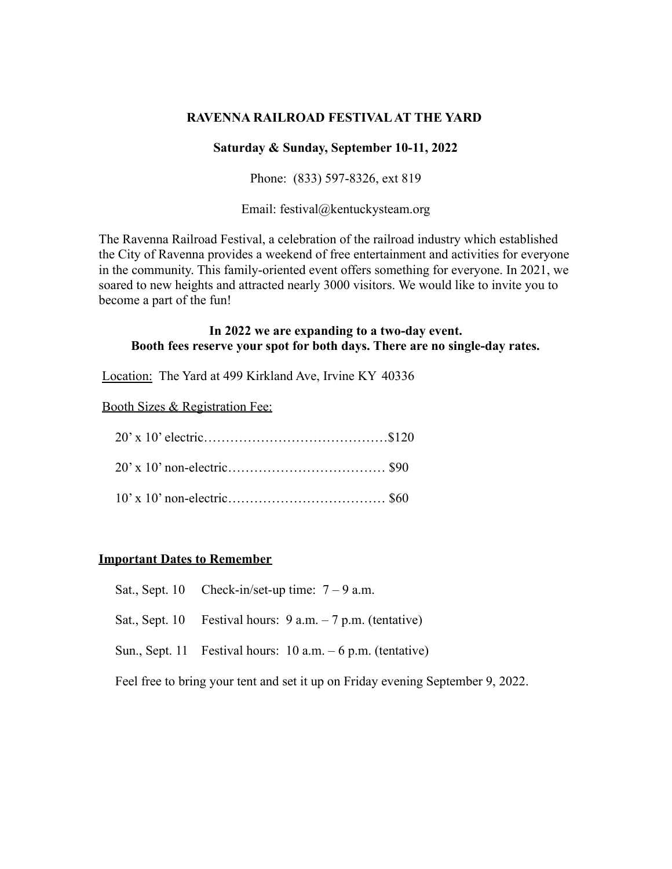### **RAVENNA RAILROAD FESTIVALAT THE YARD**

#### **Saturday & Sunday, September 10-11, 2022**

Phone: (833) 597-8326, ext 819

Email: festival@kentuckysteam.org

The Ravenna Railroad Festival, a celebration of the railroad industry which established the City of Ravenna provides a weekend of free entertainment and activities for everyone in the community. This family-oriented event offers something for everyone. In 2021, we soared to new heights and attracted nearly 3000 visitors. We would like to invite you to become a part of the fun!

#### **In 2022 we are expanding to a two-day event. Booth fees reserve your spot for both days. There are no single-day rates.**

Location: The Yard at 499 Kirkland Ave, Irvine KY 40336

Booth Sizes & Registration Fee:

### **Important Dates to Remember**

- Sat., Sept. 10 Check-in/set-up time:  $7 9$  a.m.
- Sat., Sept. 10 Festival hours: 9 a.m. 7 p.m. (tentative)
- Sun., Sept. 11 Festival hours: 10 a.m. 6 p.m. (tentative)

Feel free to bring your tent and set it up on Friday evening September 9, 2022.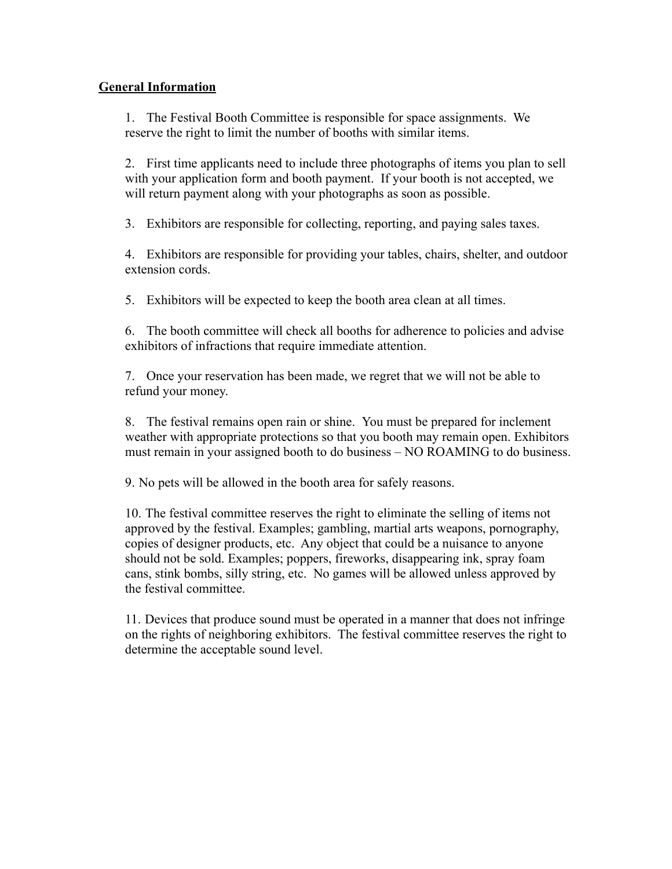## **General Information**

1. The Festival Booth Committee is responsible for space assignments. We reserve the right to limit the number of booths with similar items.

2. First time applicants need to include three photographs of items you plan to sell with your application form and booth payment. If your booth is not accepted, we will return payment along with your photographs as soon as possible.

3. Exhibitors are responsible for collecting, reporting, and paying sales taxes.

4. Exhibitors are responsible for providing your tables, chairs, shelter, and outdoor extension cords.

5. Exhibitors will be expected to keep the booth area clean at all times.

6. The booth committee will check all booths for adherence to policies and advise exhibitors of infractions that require immediate attention.

7. Once your reservation has been made, we regret that we will not be able to refund your money.

8. The festival remains open rain or shine. You must be prepared for inclement weather with appropriate protections so that you booth may remain open. Exhibitors must remain in your assigned booth to do business – NO ROAMING to do business.

9. No pets will be allowed in the booth area for safely reasons.

10. The festival committee reserves the right to eliminate the selling of items not approved by the festival. Examples; gambling, martial arts weapons, pornography, copies of designer products, etc. Any object that could be a nuisance to anyone should not be sold. Examples; poppers, fireworks, disappearing ink, spray foam cans, stink bombs, silly string, etc. No games will be allowed unless approved by the festival committee.

11. Devices that produce sound must be operated in a manner that does not infringe on the rights of neighboring exhibitors. The festival committee reserves the right to determine the acceptable sound level.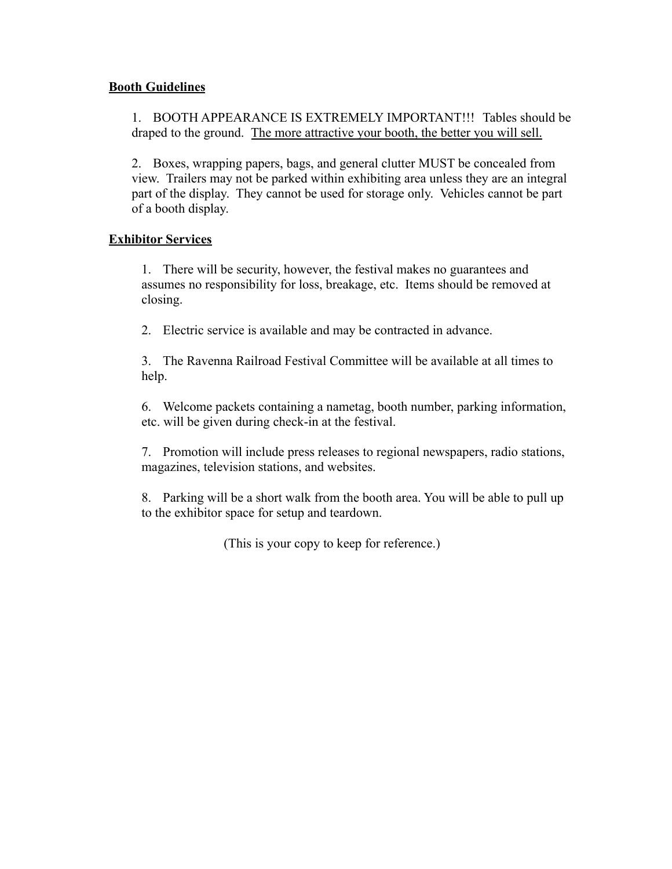## **Booth Guidelines**

1. BOOTH APPEARANCE IS EXTREMELY IMPORTANT!!! Tables should be draped to the ground. The more attractive your booth, the better you will sell.

2. Boxes, wrapping papers, bags, and general clutter MUST be concealed from view. Trailers may not be parked within exhibiting area unless they are an integral part of the display. They cannot be used for storage only. Vehicles cannot be part of a booth display.

## **Exhibitor Services**

1. There will be security, however, the festival makes no guarantees and assumes no responsibility for loss, breakage, etc. Items should be removed at closing.

2. Electric service is available and may be contracted in advance.

3. The Ravenna Railroad Festival Committee will be available at all times to help.

6. Welcome packets containing a nametag, booth number, parking information, etc. will be given during check-in at the festival.

7. Promotion will include press releases to regional newspapers, radio stations, magazines, television stations, and websites.

8. Parking will be a short walk from the booth area. You will be able to pull up to the exhibitor space for setup and teardown.

(This is your copy to keep for reference.)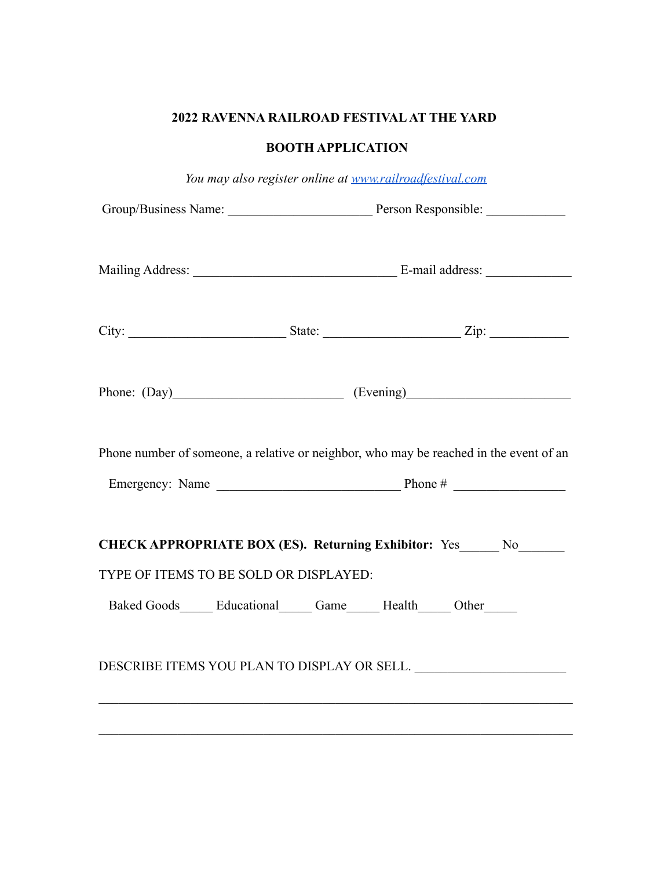# **2022 RAVENNA RAILROAD FESTIVALAT THE YARD**

## **BOOTH APPLICATION**

|                                                                                                              | You may also register online at www.railroadfestival.com                   |  |                                                                                        |  |
|--------------------------------------------------------------------------------------------------------------|----------------------------------------------------------------------------|--|----------------------------------------------------------------------------------------|--|
|                                                                                                              |                                                                            |  |                                                                                        |  |
|                                                                                                              |                                                                            |  |                                                                                        |  |
|                                                                                                              |                                                                            |  |                                                                                        |  |
|                                                                                                              |                                                                            |  |                                                                                        |  |
|                                                                                                              |                                                                            |  |                                                                                        |  |
|                                                                                                              |                                                                            |  | Phone: (Day) (Evening)                                                                 |  |
|                                                                                                              |                                                                            |  | Phone number of someone, a relative or neighbor, who may be reached in the event of an |  |
|                                                                                                              |                                                                            |  |                                                                                        |  |
| CHECK APPROPRIATE BOX (ES). Returning Exhibitor: Yes_____ No______<br>TYPE OF ITEMS TO BE SOLD OR DISPLAYED: |                                                                            |  |                                                                                        |  |
|                                                                                                              |                                                                            |  |                                                                                        |  |
|                                                                                                              | Baked Goods_______ Educational_______ Game_______ Health______ Other______ |  |                                                                                        |  |
|                                                                                                              |                                                                            |  | DESCRIBE ITEMS YOU PLAN TO DISPLAY OR SELL. ________________________                   |  |
|                                                                                                              |                                                                            |  |                                                                                        |  |